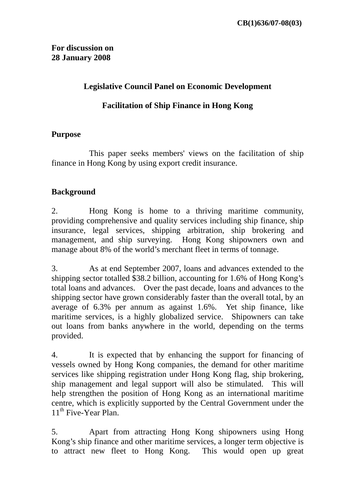### **Legislative Council Panel on Economic Development**

## **Facilitation of Ship Finance in Hong Kong**

#### **Purpose**

 This paper seeks members' views on the facilitation of ship finance in Hong Kong by using export credit insurance.

#### **Background**

2. Hong Kong is home to a thriving maritime community, providing comprehensive and quality services including ship finance, ship insurance, legal services, shipping arbitration, ship brokering and management, and ship surveying. Hong Kong shipowners own and manage about 8% of the world's merchant fleet in terms of tonnage.

3. As at end September 2007, loans and advances extended to the shipping sector totalled \$38.2 billion, accounting for 1.6% of Hong Kong's total loans and advances. Over the past decade, loans and advances to the shipping sector have grown considerably faster than the overall total, by an average of 6.3% per annum as against 1.6%. Yet ship finance, like maritime services, is a highly globalized service. Shipowners can take out loans from banks anywhere in the world, depending on the terms provided.

4. It is expected that by enhancing the support for financing of vessels owned by Hong Kong companies, the demand for other maritime services like shipping registration under Hong Kong flag, ship brokering, ship management and legal support will also be stimulated. This will help strengthen the position of Hong Kong as an international maritime centre, which is explicitly supported by the Central Government under the 11<sup>th</sup> Five-Year Plan.

5. Apart from attracting Hong Kong shipowners using Hong Kong's ship finance and other maritime services, a longer term objective is to attract new fleet to Hong Kong. This would open up great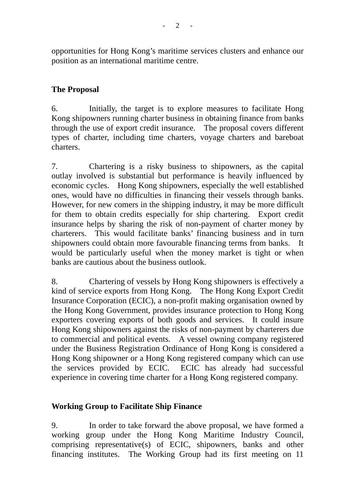opportunities for Hong Kong's maritime services clusters and enhance our position as an international maritime centre.

# **The Proposal**

6. Initially, the target is to explore measures to facilitate Hong Kong shipowners running charter business in obtaining finance from banks through the use of export credit insurance. The proposal covers different types of charter, including time charters, voyage charters and bareboat charters.

7. Chartering is a risky business to shipowners, as the capital outlay involved is substantial but performance is heavily influenced by economic cycles. Hong Kong shipowners, especially the well established ones, would have no difficulties in financing their vessels through banks. However, for new comers in the shipping industry, it may be more difficult for them to obtain credits especially for ship chartering. Export credit insurance helps by sharing the risk of non-payment of charter money by charterers. This would facilitate banks' financing business and in turn shipowners could obtain more favourable financing terms from banks. It would be particularly useful when the money market is tight or when banks are cautious about the business outlook.

8. Chartering of vessels by Hong Kong shipowners is effectively a kind of service exports from Hong Kong. The Hong Kong Export Credit Insurance Corporation (ECIC), a non-profit making organisation owned by the Hong Kong Government, provides insurance protection to Hong Kong exporters covering exports of both goods and services. It could insure Hong Kong shipowners against the risks of non-payment by charterers due to commercial and political events. A vessel owning company registered under the Business Registration Ordinance of Hong Kong is considered a Hong Kong shipowner or a Hong Kong registered company which can use the services provided by ECIC. ECIC has already had successful experience in covering time charter for a Hong Kong registered company.

#### **Working Group to Facilitate Ship Finance**

9. In order to take forward the above proposal, we have formed a working group under the Hong Kong Maritime Industry Council, comprising representative(s) of ECIC, shipowners, banks and other financing institutes. The Working Group had its first meeting on 11